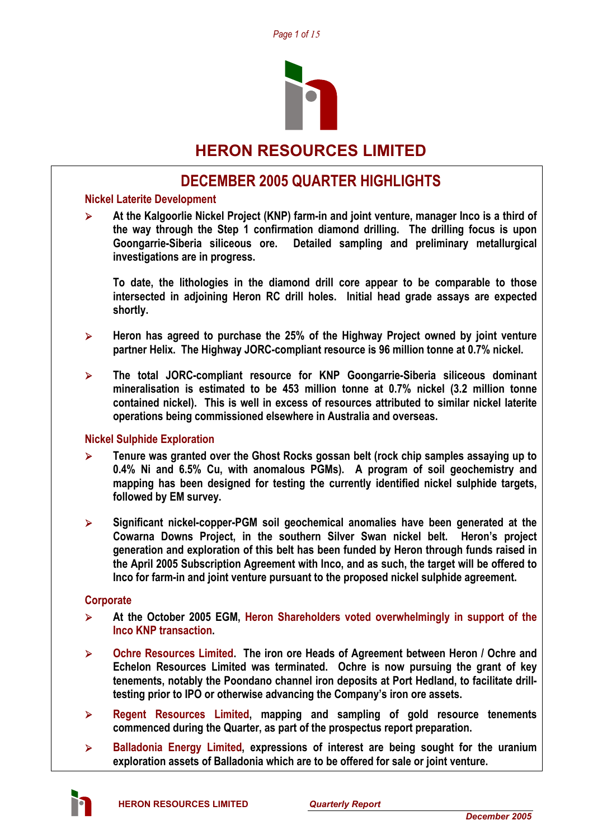

# **HERON RESOURCES LIMITED**

# **DECEMBER 2005 QUARTER HIGHLIGHTS**

### **Nickel Laterite Development**

¾ **At the Kalgoorlie Nickel Project (KNP) farm-in and joint venture, manager Inco is a third of the way through the Step 1 confirmation diamond drilling. The drilling focus is upon Goongarrie-Siberia siliceous ore. Detailed sampling and preliminary metallurgical investigations are in progress.** 

**To date, the lithologies in the diamond drill core appear to be comparable to those intersected in adjoining Heron RC drill holes. Initial head grade assays are expected shortly.** 

- ¾ **Heron has agreed to purchase the 25% of the Highway Project owned by joint venture partner Helix. The Highway JORC-compliant resource is 96 million tonne at 0.7% nickel.**
- ¾ **The total JORC-compliant resource for KNP Goongarrie-Siberia siliceous dominant mineralisation is estimated to be 453 million tonne at 0.7% nickel (3.2 million tonne contained nickel). This is well in excess of resources attributed to similar nickel laterite operations being commissioned elsewhere in Australia and overseas.**

### **Nickel Sulphide Exploration**

- ¾ **Tenure was granted over the Ghost Rocks gossan belt (rock chip samples assaying up to 0.4% Ni and 6.5% Cu, with anomalous PGMs). A program of soil geochemistry and mapping has been designed for testing the currently identified nickel sulphide targets, followed by EM survey.**
- ¾ **Significant nickel-copper-PGM soil geochemical anomalies have been generated at the Cowarna Downs Project, in the southern Silver Swan nickel belt. Heron's project generation and exploration of this belt has been funded by Heron through funds raised in the April 2005 Subscription Agreement with Inco, and as such, the target will be offered to Inco for farm-in and joint venture pursuant to the proposed nickel sulphide agreement.**

### **Corporate**

- ¾ **At the October 2005 EGM, Heron Shareholders voted overwhelmingly in support of the Inco KNP transaction.**
- ¾ **Ochre Resources Limited. The iron ore Heads of Agreement between Heron / Ochre and Echelon Resources Limited was terminated. Ochre is now pursuing the grant of key tenements, notably the Poondano channel iron deposits at Port Hedland, to facilitate drilltesting prior to IPO or otherwise advancing the Company's iron ore assets.**
- ¾ **Regent Resources Limited, mapping and sampling of gold resource tenements commenced during the Quarter, as part of the prospectus report preparation.**
- ¾ **Balladonia Energy Limited, expressions of interest are being sought for the uranium exploration assets of Balladonia which are to be offered for sale or joint venture.**

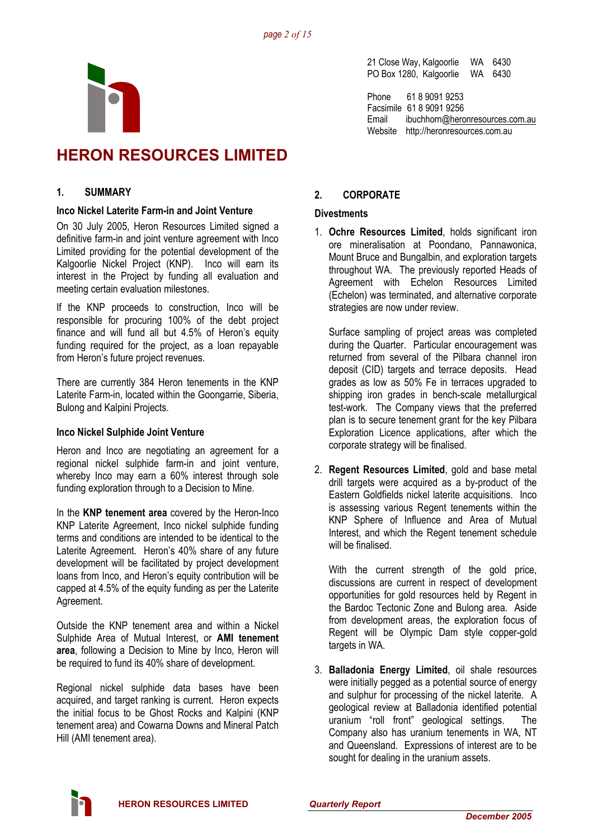

# **HERON RESOURCES LIMITED**

### **1. SUMMARY**

#### **Inco Nickel Laterite Farm-in and Joint Venture**

On 30 July 2005, Heron Resources Limited signed a definitive farm-in and joint venture agreement with Inco Limited providing for the potential development of the Kalgoorlie Nickel Project (KNP). Inco will earn its interest in the Project by funding all evaluation and meeting certain evaluation milestones.

If the KNP proceeds to construction, Inco will be responsible for procuring 100% of the debt project finance and will fund all but 4.5% of Heron's equity funding required for the project, as a loan repayable from Heron's future project revenues.

There are currently 384 Heron tenements in the KNP Laterite Farm-in, located within the Goongarrie, Siberia, Bulong and Kalpini Projects.

### **Inco Nickel Sulphide Joint Venture**

Heron and Inco are negotiating an agreement for a regional nickel sulphide farm-in and joint venture, whereby Inco may earn a 60% interest through sole funding exploration through to a Decision to Mine.

In the **KNP tenement area** covered by the Heron-Inco KNP Laterite Agreement, Inco nickel sulphide funding terms and conditions are intended to be identical to the Laterite Agreement. Heron's 40% share of any future development will be facilitated by project development loans from Inco, and Heron's equity contribution will be capped at 4.5% of the equity funding as per the Laterite Agreement.

Outside the KNP tenement area and within a Nickel Sulphide Area of Mutual Interest, or **AMI tenement area**, following a Decision to Mine by Inco, Heron will be required to fund its 40% share of development.

Regional nickel sulphide data bases have been acquired, and target ranking is current. Heron expects the initial focus to be Ghost Rocks and Kalpini (KNP tenement area) and Cowarna Downs and Mineral Patch Hill (AMI tenement area).

21 Close Way, Kalgoorlie WA 6430 PO Box 1280, Kalgoorlie WA 6430

Phone 61 8 9091 9253 Facsimile 61 8 9091 9256 Email ibuchhorn@heronresources.com.au Website http://heronresources.com.au

### **2. CORPORATE**

### **Divestments**

1. **Ochre Resources Limited**, holds significant iron ore mineralisation at Poondano, Pannawonica, Mount Bruce and Bungalbin, and exploration targets throughout WA. The previously reported Heads of Agreement with Echelon Resources Limited (Echelon) was terminated, and alternative corporate strategies are now under review.

Surface sampling of project areas was completed during the Quarter. Particular encouragement was returned from several of the Pilbara channel iron deposit (CID) targets and terrace deposits. Head grades as low as 50% Fe in terraces upgraded to shipping iron grades in bench-scale metallurgical test-work. The Company views that the preferred plan is to secure tenement grant for the key Pilbara Exploration Licence applications, after which the corporate strategy will be finalised.

2. **Regent Resources Limited**, gold and base metal drill targets were acquired as a by-product of the Eastern Goldfields nickel laterite acquisitions. Inco is assessing various Regent tenements within the KNP Sphere of Influence and Area of Mutual Interest, and which the Regent tenement schedule will be finalised.

With the current strength of the gold price, discussions are current in respect of development opportunities for gold resources held by Regent in the Bardoc Tectonic Zone and Bulong area. Aside from development areas, the exploration focus of Regent will be Olympic Dam style copper-gold targets in WA.

3. **Balladonia Energy Limited**, oil shale resources were initially pegged as a potential source of energy and sulphur for processing of the nickel laterite. A geological review at Balladonia identified potential uranium "roll front" geological settings. The Company also has uranium tenements in WA, NT and Queensland. Expressions of interest are to be sought for dealing in the uranium assets.

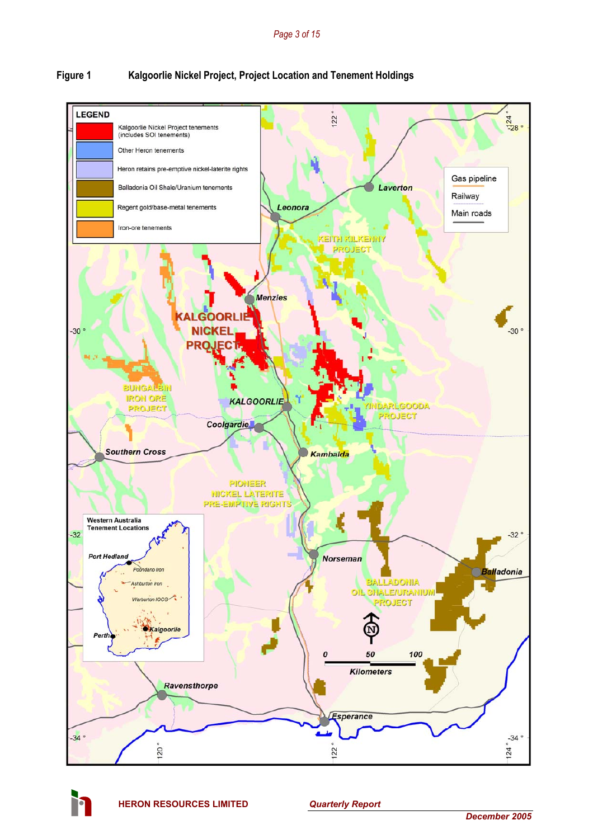## **Figure 1 Kalgoorlie Nickel Project, Project Location and Tenement Holdings**



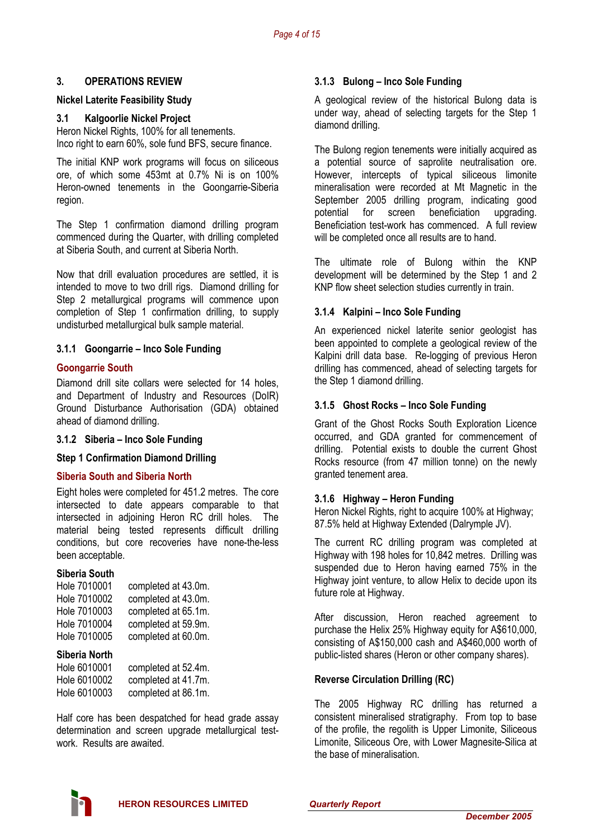### **3. OPERATIONS REVIEW**

### **Nickel Laterite Feasibility Study**

### **3.1 Kalgoorlie Nickel Project**

Heron Nickel Rights, 100% for all tenements. Inco right to earn 60%, sole fund BFS, secure finance.

The initial KNP work programs will focus on siliceous ore, of which some 453mt at 0.7% Ni is on 100% Heron-owned tenements in the Goongarrie-Siberia region.

The Step 1 confirmation diamond drilling program commenced during the Quarter, with drilling completed at Siberia South, and current at Siberia North.

Now that drill evaluation procedures are settled, it is intended to move to two drill rigs. Diamond drilling for Step 2 metallurgical programs will commence upon completion of Step 1 confirmation drilling, to supply undisturbed metallurgical bulk sample material.

#### **3.1.1 Goongarrie – Inco Sole Funding**

#### **Goongarrie South**

Diamond drill site collars were selected for 14 holes, and Department of Industry and Resources (DoIR) Ground Disturbance Authorisation (GDA) obtained ahead of diamond drilling.

#### **3.1.2 Siberia – Inco Sole Funding**

#### **Step 1 Confirmation Diamond Drilling**

#### **Siberia South and Siberia North**

Eight holes were completed for 451.2 metres. The core intersected to date appears comparable to that intersected in adjoining Heron RC drill holes. The material being tested represents difficult drilling conditions, but core recoveries have none-the-less been acceptable.

#### **Siberia South**

| Hole 7010001 | completed at 43.0m. |
|--------------|---------------------|
| Hole 7010002 | completed at 43.0m. |
| Hole 7010003 | completed at 65.1m. |
| Hole 7010004 | completed at 59.9m. |
| Hole 7010005 | completed at 60.0m. |

#### **Siberia North**

| Hole 6010001 | completed at 52.4m. |
|--------------|---------------------|
| Hole 6010002 | completed at 41.7m. |
| Hole 6010003 | completed at 86.1m. |

Half core has been despatched for head grade assay determination and screen upgrade metallurgical testwork. Results are awaited.

#### **3.1.3 Bulong – Inco Sole Funding**

A geological review of the historical Bulong data is under way, ahead of selecting targets for the Step 1 diamond drilling.

The Bulong region tenements were initially acquired as a potential source of saprolite neutralisation ore. However, intercepts of typical siliceous limonite mineralisation were recorded at Mt Magnetic in the September 2005 drilling program, indicating good potential for screen beneficiation upgrading. Beneficiation test-work has commenced. A full review will be completed once all results are to hand.

The ultimate role of Bulong within the KNP development will be determined by the Step 1 and 2 KNP flow sheet selection studies currently in train.

### **3.1.4 Kalpini – Inco Sole Funding**

An experienced nickel laterite senior geologist has been appointed to complete a geological review of the Kalpini drill data base. Re-logging of previous Heron drilling has commenced, ahead of selecting targets for the Step 1 diamond drilling.

#### **3.1.5 Ghost Rocks – Inco Sole Funding**

Grant of the Ghost Rocks South Exploration Licence occurred, and GDA granted for commencement of drilling. Potential exists to double the current Ghost Rocks resource (from 47 million tonne) on the newly granted tenement area.

#### **3.1.6 Highway – Heron Funding**

Heron Nickel Rights, right to acquire 100% at Highway: 87.5% held at Highway Extended (Dalrymple JV).

The current RC drilling program was completed at Highway with 198 holes for 10,842 metres. Drilling was suspended due to Heron having earned 75% in the Highway joint venture, to allow Helix to decide upon its future role at Highway.

After discussion, Heron reached agreement to purchase the Helix 25% Highway equity for A\$610,000, consisting of A\$150,000 cash and A\$460,000 worth of public-listed shares (Heron or other company shares).

### **Reverse Circulation Drilling (RC)**

The 2005 Highway RC drilling has returned a consistent mineralised stratigraphy. From top to base of the profile, the regolith is Upper Limonite, Siliceous Limonite, Siliceous Ore, with Lower Magnesite-Silica at the base of mineralisation.

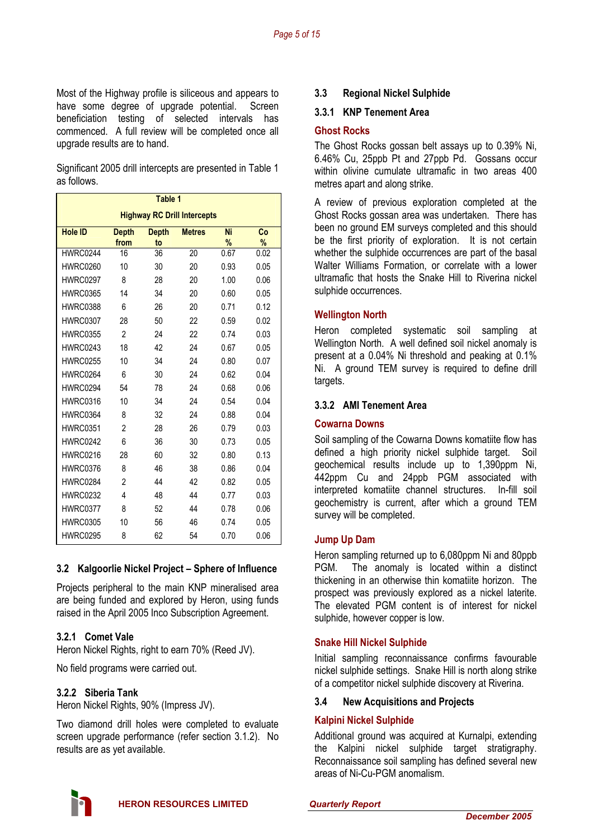Most of the Highway profile is siliceous and appears to have some degree of upgrade potential. Screen beneficiation testing of selected intervals has commenced. A full review will be completed once all upgrade results are to hand.

Significant 2005 drill intercepts are presented in Table 1 as follows.

| Table 1                            |                      |                    |               |         |         |
|------------------------------------|----------------------|--------------------|---------------|---------|---------|
| <b>Highway RC Drill Intercepts</b> |                      |                    |               |         |         |
| <b>Hole ID</b>                     | <b>Depth</b><br>from | <b>Depth</b><br>to | <b>Metres</b> | Ni<br>% | Co<br>% |
| HWRC0244                           | 16                   | 36                 | 20            | 0.67    | 0.02    |
| <b>HWRC0260</b>                    | 10                   | 30                 | 20            | 0.93    | 0.05    |
| <b>HWRC0297</b>                    | 8                    | 28                 | 20            | 1.00    | 0.06    |
| <b>HWRC0365</b>                    | 14                   | 34                 | 20            | 0.60    | 0.05    |
| <b>HWRC0388</b>                    | 6                    | 26                 | 20            | 0.71    | 0.12    |
| <b>HWRC0307</b>                    | 28                   | 50                 | 22            | 0.59    | 0.02    |
| <b>HWRC0355</b>                    | $\mathfrak{p}$       | 24                 | 22            | 0.74    | 0.03    |
| <b>HWRC0243</b>                    | 18                   | 42                 | 24            | 0.67    | 0.05    |
| <b>HWRC0255</b>                    | 10                   | 34                 | 24            | 0.80    | 0.07    |
| <b>HWRC0264</b>                    | 6                    | 30                 | 24            | 0.62    | 0.04    |
| <b>HWRC0294</b>                    | 54                   | 78                 | 24            | 0.68    | 0.06    |
| <b>HWRC0316</b>                    | 10                   | 34                 | 24            | 0.54    | 0.04    |
| <b>HWRC0364</b>                    | 8                    | 32                 | 24            | 0.88    | 0.04    |
| <b>HWRC0351</b>                    | $\overline{2}$       | 28                 | 26            | 0.79    | 0.03    |
| <b>HWRC0242</b>                    | 6                    | 36                 | 30            | 0.73    | 0.05    |
| <b>HWRC0216</b>                    | 28                   | 60                 | 32            | 0.80    | 0.13    |
| <b>HWRC0376</b>                    | 8                    | 46                 | 38            | 0.86    | 0.04    |
| <b>HWRC0284</b>                    | $\overline{2}$       | 44                 | 42            | 0.82    | 0.05    |
| <b>HWRC0232</b>                    | 4                    | 48                 | 44            | 0.77    | 0.03    |
| <b>HWRC0377</b>                    | 8                    | 52                 | 44            | 0.78    | 0.06    |
| <b>HWRC0305</b>                    | 10                   | 56                 | 46            | 0.74    | 0.05    |
| <b>HWRC0295</b>                    | 8                    | 62                 | 54            | 0.70    | 0.06    |

### **3.2 Kalgoorlie Nickel Project – Sphere of Influence**

Projects peripheral to the main KNP mineralised area are being funded and explored by Heron, using funds raised in the April 2005 Inco Subscription Agreement.

### **3.2.1 Comet Vale**

Heron Nickel Rights, right to earn 70% (Reed JV).

No field programs were carried out.

### **3.2.2 Siberia Tank**

Heron Nickel Rights, 90% (Impress JV).

Two diamond drill holes were completed to evaluate screen upgrade performance (refer section 3.1.2). No results are as yet available.

### **3.3 Regional Nickel Sulphide**

#### **3.3.1 KNP Tenement Area**

#### **Ghost Rocks**

The Ghost Rocks gossan belt assays up to 0.39% Ni, 6.46% Cu, 25ppb Pt and 27ppb Pd. Gossans occur within olivine cumulate ultramafic in two areas 400 metres apart and along strike.

A review of previous exploration completed at the Ghost Rocks gossan area was undertaken. There has been no ground EM surveys completed and this should be the first priority of exploration. It is not certain whether the sulphide occurrences are part of the basal Walter Williams Formation, or correlate with a lower ultramafic that hosts the Snake Hill to Riverina nickel sulphide occurrences.

### **Wellington North**

Heron completed systematic soil sampling at Wellington North. A well defined soil nickel anomaly is present at a 0.04% Ni threshold and peaking at 0.1% Ni. A ground TEM survey is required to define drill targets.

### **3.3.2 AMI Tenement Area**

### **Cowarna Downs**

Soil sampling of the Cowarna Downs komatiite flow has defined a high priority nickel sulphide target. Soil geochemical results include up to 1,390ppm Ni, 442ppm Cu and 24ppb PGM associated with interpreted komatiite channel structures. In-fill soil geochemistry is current, after which a ground TEM survey will be completed.

### **Jump Up Dam**

Heron sampling returned up to 6,080ppm Ni and 80ppb PGM. The anomaly is located within a distinct thickening in an otherwise thin komatiite horizon. The prospect was previously explored as a nickel laterite. The elevated PGM content is of interest for nickel sulphide, however copper is low.

### **Snake Hill Nickel Sulphide**

Initial sampling reconnaissance confirms favourable nickel sulphide settings. Snake Hill is north along strike of a competitor nickel sulphide discovery at Riverina.

### **3.4 New Acquisitions and Projects**

### **Kalpini Nickel Sulphide**

Additional ground was acquired at Kurnalpi, extending the Kalpini nickel sulphide target stratigraphy. Reconnaissance soil sampling has defined several new areas of Ni-Cu-PGM anomalism.

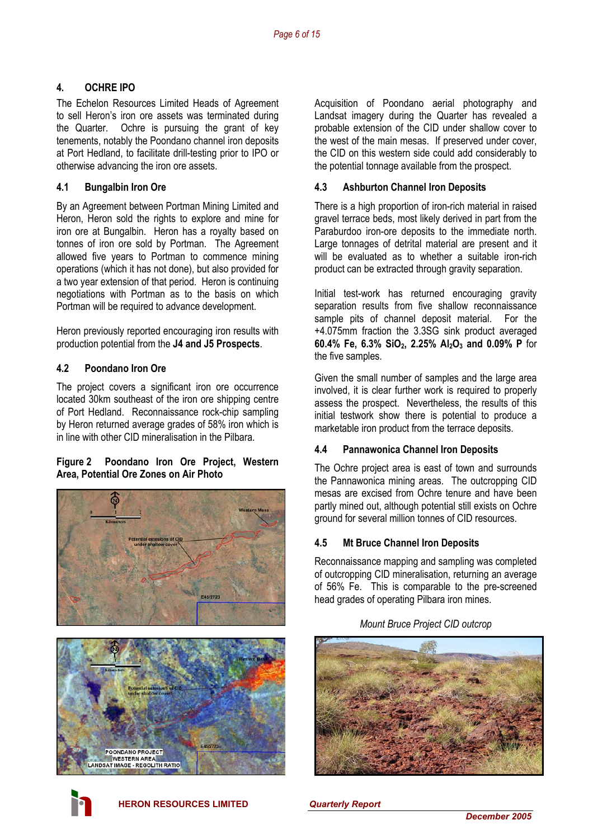## **4. OCHRE IPO**

The Echelon Resources Limited Heads of Agreement to sell Heron's iron ore assets was terminated during the Quarter. Ochre is pursuing the grant of key tenements, notably the Poondano channel iron deposits at Port Hedland, to facilitate drill-testing prior to IPO or otherwise advancing the iron ore assets.

### **4.1 Bungalbin Iron Ore**

By an Agreement between Portman Mining Limited and Heron, Heron sold the rights to explore and mine for iron ore at Bungalbin. Heron has a royalty based on tonnes of iron ore sold by Portman. The Agreement allowed five years to Portman to commence mining operations (which it has not done), but also provided for a two year extension of that period. Heron is continuing negotiations with Portman as to the basis on which Portman will be required to advance development.

Heron previously reported encouraging iron results with production potential from the **J4 and J5 Prospects**.

### **4.2 Poondano Iron Ore**

The project covers a significant iron ore occurrence located 30km southeast of the iron ore shipping centre of Port Hedland. Reconnaissance rock-chip sampling by Heron returned average grades of 58% iron which is in line with other CID mineralisation in the Pilbara.

### **Figure 2 Poondano Iron Ore Project, Western Area, Potential Ore Zones on Air Photo**



Acquisition of Poondano aerial photography and Landsat imagery during the Quarter has revealed a probable extension of the CID under shallow cover to the west of the main mesas. If preserved under cover, the CID on this western side could add considerably to the potential tonnage available from the prospect.

### **4.3 Ashburton Channel Iron Deposits**

There is a high proportion of iron-rich material in raised gravel terrace beds, most likely derived in part from the Paraburdoo iron-ore deposits to the immediate north. Large tonnages of detrital material are present and it will be evaluated as to whether a suitable iron-rich product can be extracted through gravity separation.

Initial test-work has returned encouraging gravity separation results from five shallow reconnaissance sample pits of channel deposit material. For the +4.075mm fraction the 3.3SG sink product averaged **60.4% Fe, 6.3% SiO2, 2.25% Al2O3 and 0.09% P** for the five samples.

Given the small number of samples and the large area involved, it is clear further work is required to properly assess the prospect. Nevertheless, the results of this initial testwork show there is potential to produce a marketable iron product from the terrace deposits.

### **4.4 Pannawonica Channel Iron Deposits**

The Ochre project area is east of town and surrounds the Pannawonica mining areas. The outcropping CID mesas are excised from Ochre tenure and have been partly mined out, although potential still exists on Ochre ground for several million tonnes of CID resources.

### **4.5 Mt Bruce Channel Iron Deposits**

Reconnaissance mapping and sampling was completed of outcropping CID mineralisation, returning an average of 56% Fe. This is comparable to the pre-screened head grades of operating Pilbara iron mines.

### *Mount Bruce Project CID outcrop*



**HERON RESOURCES LIMITED** *Quarterly Report*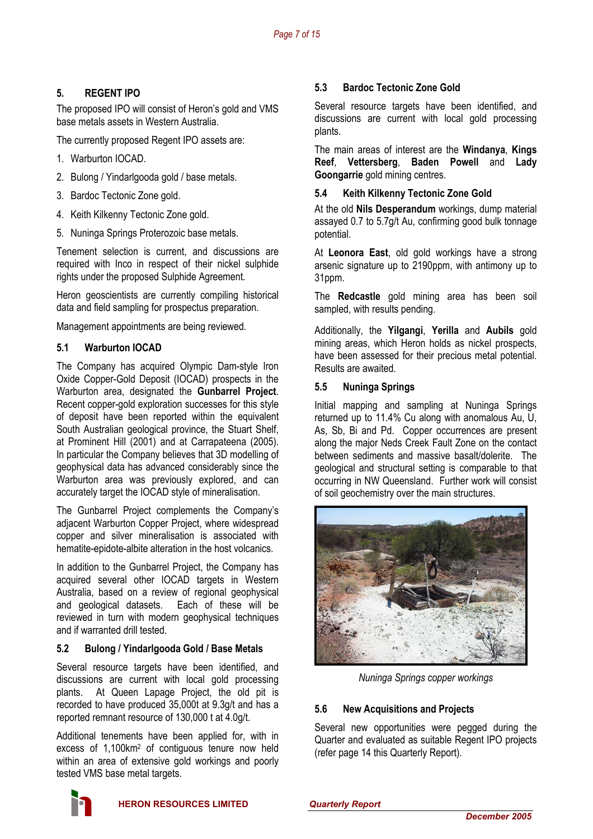# **5. REGENT IPO**

The proposed IPO will consist of Heron's gold and VMS base metals assets in Western Australia.

The currently proposed Regent IPO assets are:

- 1. Warburton IOCAD.
- 2. Bulong / Yindarlgooda gold / base metals.
- 3. Bardoc Tectonic Zone gold.
- 4. Keith Kilkenny Tectonic Zone gold.
- 5. Nuninga Springs Proterozoic base metals.

Tenement selection is current, and discussions are required with Inco in respect of their nickel sulphide rights under the proposed Sulphide Agreement.

Heron geoscientists are currently compiling historical data and field sampling for prospectus preparation.

Management appointments are being reviewed.

### **5.1 Warburton IOCAD**

The Company has acquired Olympic Dam-style Iron Oxide Copper-Gold Deposit (IOCAD) prospects in the Warburton area, designated the **Gunbarrel Project**. Recent copper-gold exploration successes for this style of deposit have been reported within the equivalent South Australian geological province, the Stuart Shelf, at Prominent Hill (2001) and at Carrapateena (2005). In particular the Company believes that 3D modelling of geophysical data has advanced considerably since the Warburton area was previously explored, and can accurately target the IOCAD style of mineralisation.

The Gunbarrel Project complements the Company's adjacent Warburton Copper Project, where widespread copper and silver mineralisation is associated with hematite-epidote-albite alteration in the host volcanics.

In addition to the Gunbarrel Project, the Company has acquired several other IOCAD targets in Western Australia, based on a review of regional geophysical and geological datasets. Each of these will be reviewed in turn with modern geophysical techniques and if warranted drill tested.

### **5.2 Bulong / Yindarlgooda Gold / Base Metals**

Several resource targets have been identified, and discussions are current with local gold processing plants. At Queen Lapage Project, the old pit is recorded to have produced 35,000t at 9.3g/t and has a reported remnant resource of 130,000 t at 4.0g/t.

Additional tenements have been applied for, with in excess of 1,100km2 of contiguous tenure now held within an area of extensive gold workings and poorly tested VMS base metal targets.

### **5.3 Bardoc Tectonic Zone Gold**

Several resource targets have been identified, and discussions are current with local gold processing plants.

The main areas of interest are the **Windanya**, **Kings Reef**, **Vettersberg**, **Baden Powell** and **Lady Goongarrie** gold mining centres.

### **5.4 Keith Kilkenny Tectonic Zone Gold**

At the old **Nils Desperandum** workings, dump material assayed 0.7 to 5.7g/t Au, confirming good bulk tonnage potential.

At **Leonora East**, old gold workings have a strong arsenic signature up to 2190ppm, with antimony up to 31ppm.

The **Redcastle** gold mining area has been soil sampled, with results pending.

Additionally, the **Yilgangi**, **Yerilla** and **Aubils** gold mining areas, which Heron holds as nickel prospects, have been assessed for their precious metal potential. Results are awaited.

### **5.5 Nuninga Springs**

Initial mapping and sampling at Nuninga Springs returned up to 11.4% Cu along with anomalous Au, U, As, Sb, Bi and Pd. Copper occurrences are present along the major Neds Creek Fault Zone on the contact between sediments and massive basalt/dolerite. The geological and structural setting is comparable to that occurring in NW Queensland. Further work will consist of soil geochemistry over the main structures.



*Nuninga Springs copper workings* 

### **5.6 New Acquisitions and Projects**

Several new opportunities were pegged during the Quarter and evaluated as suitable Regent IPO projects (refer page 14 this Quarterly Report).

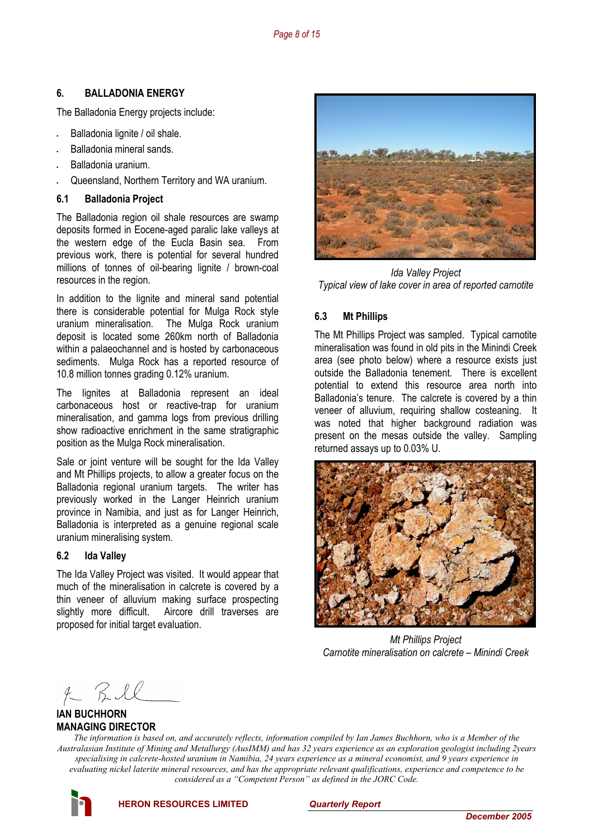### **6. BALLADONIA ENERGY**

The Balladonia Energy projects include:

- Balladonia lignite / oil shale.
- Balladonia mineral sands.
- Balladonia uranium.
- Queensland, Northern Territory and WA uranium.

#### **6.1 Balladonia Project**

The Balladonia region oil shale resources are swamp deposits formed in Eocene-aged paralic lake valleys at the western edge of the Eucla Basin sea. From previous work, there is potential for several hundred millions of tonnes of oil-bearing lignite / brown-coal resources in the region.

In addition to the lignite and mineral sand potential there is considerable potential for Mulga Rock style uranium mineralisation. The Mulga Rock uranium deposit is located some 260km north of Balladonia within a palaeochannel and is hosted by carbonaceous sediments. Mulga Rock has a reported resource of 10.8 million tonnes grading 0.12% uranium.

The lignites at Balladonia represent an ideal carbonaceous host or reactive-trap for uranium mineralisation, and gamma logs from previous drilling show radioactive enrichment in the same stratigraphic position as the Mulga Rock mineralisation.

Sale or joint venture will be sought for the Ida Valley and Mt Phillips projects, to allow a greater focus on the Balladonia regional uranium targets. The writer has previously worked in the Langer Heinrich uranium province in Namibia, and just as for Langer Heinrich, Balladonia is interpreted as a genuine regional scale uranium mineralising system.

### **6.2 Ida Valley**

The Ida Valley Project was visited. It would appear that much of the mineralisation in calcrete is covered by a thin veneer of alluvium making surface prospecting slightly more difficult. Aircore drill traverses are proposed for initial target evaluation.



*Ida Valley Project Typical view of lake cover in area of reported carnotite* 

### **6.3 Mt Phillips**

The Mt Phillips Project was sampled. Typical carnotite mineralisation was found in old pits in the Minindi Creek area (see photo below) where a resource exists just outside the Balladonia tenement. There is excellent potential to extend this resource area north into Balladonia's tenure. The calcrete is covered by a thin veneer of alluvium, requiring shallow costeaning. It was noted that higher background radiation was present on the mesas outside the valley. Sampling returned assays up to 0.03% U.



*Mt Phillips Project Carnotite mineralisation on calcrete – Minindi Creek* 

 $f-RIL$ 

### **IAN BUCHHORN MANAGING DIRECTOR**

*The information is based on, and accurately reflects, information compiled by Ian James Buchhorn, who is a Member of the Australasian Institute of Mining and Metallurgy (AusIMM) and has 32 years experience as an exploration geologist including 2years specialising in calcrete-hosted uranium in Namibia, 24 years experience as a mineral economist, and 9 years experience in evaluating nickel laterite mineral resources, and has the appropriate relevant qualifications, experience and competence to be considered as a "Competent Person" as defined in the JORC Code.* 

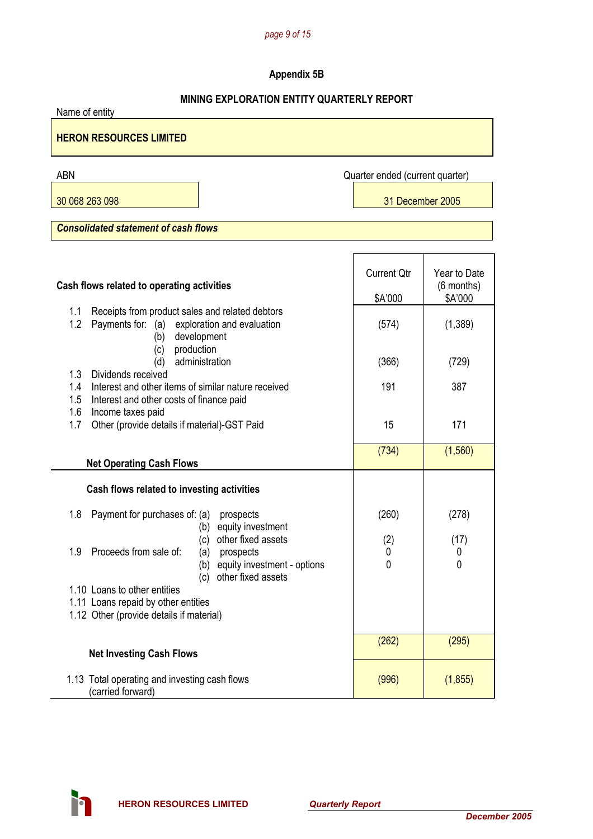#### *page 9 of 15*

# **Appendix 5B**

### **MINING EXPLORATION ENTITY QUARTERLY REPORT**

Name of entity

### **HERON RESOURCES LIMITED**

ABN Quarter ended (current quarter)

 $\mathsf{r}$ 

30 068 263 098 31 December 2005

*Consolidated statement of cash flows* 

| Cash flows related to operating activities                                                                                                 | <b>Current Qtr</b><br>\$A'000 | Year to Date<br>(6 months)<br>\$A'000 |
|--------------------------------------------------------------------------------------------------------------------------------------------|-------------------------------|---------------------------------------|
| Receipts from product sales and related debtors<br>1.1<br>1.2<br>Payments for: (a)<br>exploration and evaluation<br>development<br>(b)     | (574)                         | (1,389)                               |
| production<br>(c)<br>administration<br>(d)                                                                                                 | (366)                         | (729)                                 |
| 1.3<br>Dividends received<br>Interest and other items of similar nature received<br>1.4<br>1.5<br>Interest and other costs of finance paid | 191                           | 387                                   |
| 1.6<br>Income taxes paid<br>1.7<br>Other (provide details if material)-GST Paid                                                            | 15                            | 171                                   |
| <b>Net Operating Cash Flows</b>                                                                                                            | (734)                         | (1,560)                               |
| Cash flows related to investing activities                                                                                                 |                               |                                       |
| Payment for purchases of: (a)<br>1.8<br>prospects<br>(b) equity investment<br>other fixed assets<br>(c)                                    | (260)<br>(2)                  | (278)<br>(17)                         |
| Proceeds from sale of:<br>1.9<br>(a)<br>prospects<br>equity investment - options<br>(b)<br>other fixed assets<br>(c)                       | 0<br>$\mathbf{0}$             | 0<br>$\mathbf 0$                      |
| 1.10 Loans to other entities                                                                                                               |                               |                                       |
| 1.11 Loans repaid by other entities                                                                                                        |                               |                                       |
| 1.12 Other (provide details if material)                                                                                                   |                               |                                       |
| <b>Net Investing Cash Flows</b>                                                                                                            | (262)                         | (295)                                 |
| 1.13 Total operating and investing cash flows<br>(carried forward)                                                                         | (996)                         | (1, 855)                              |

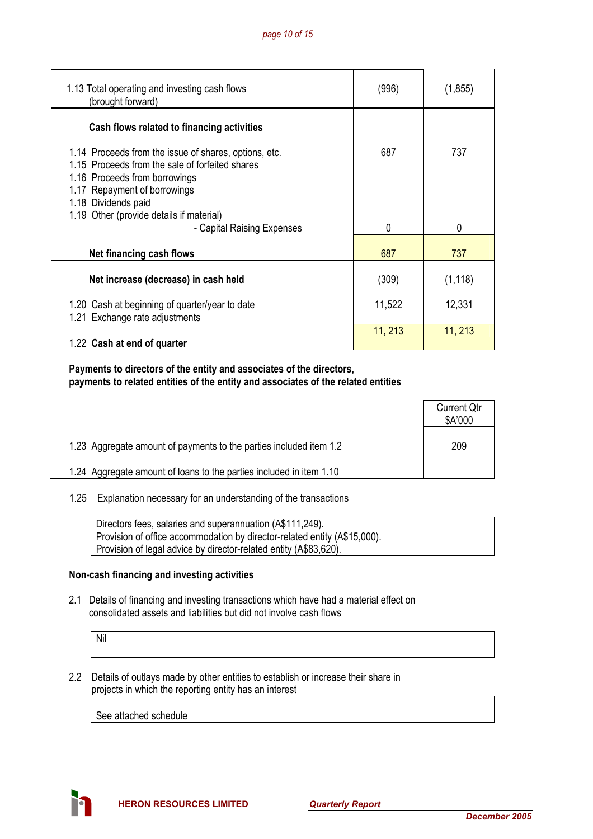| 1.13 Total operating and investing cash flows<br>(brought forward)                                                                                                                               | (996)   | (1, 855)     |
|--------------------------------------------------------------------------------------------------------------------------------------------------------------------------------------------------|---------|--------------|
| Cash flows related to financing activities                                                                                                                                                       |         |              |
| 1.14 Proceeds from the issue of shares, options, etc.<br>1.15 Proceeds from the sale of forfeited shares<br>1.16 Proceeds from borrowings<br>1.17 Repayment of borrowings<br>1.18 Dividends paid | 687     | 737          |
| 1.19 Other (provide details if material)<br>- Capital Raising Expenses                                                                                                                           | 0       | $\mathbf{0}$ |
| Net financing cash flows                                                                                                                                                                         | 687     | 737          |
| Net increase (decrease) in cash held                                                                                                                                                             | (309)   | (1, 118)     |
| 1.20 Cash at beginning of quarter/year to date<br>1.21 Exchange rate adjustments                                                                                                                 | 11,522  | 12,331       |
| 1.22 Cash at end of quarter                                                                                                                                                                      | 11, 213 | 11, 213      |

 **Payments to directors of the entity and associates of the directors, payments to related entities of the entity and associates of the related entities** 

|                                                                     | <b>Current Qtr</b><br>\$A'000 |
|---------------------------------------------------------------------|-------------------------------|
| 1.23 Aggregate amount of payments to the parties included item 1.2  | 209                           |
| 1.24 Aggregate amount of loans to the parties included in item 1.10 |                               |

1.25 Explanation necessary for an understanding of the transactions

| Directors fees, salaries and superannuation (A\$111,249).                 |
|---------------------------------------------------------------------------|
| Provision of office accommodation by director-related entity (A\$15,000). |
| Provision of legal advice by director-related entity (A\$83,620).         |

### **Non-cash financing and investing activities**

 2.1 Details of financing and investing transactions which have had a material effect on consolidated assets and liabilities but did not involve cash flows

Nil

 2.2 Details of outlays made by other entities to establish or increase their share in projects in which the reporting entity has an interest

See attached schedule

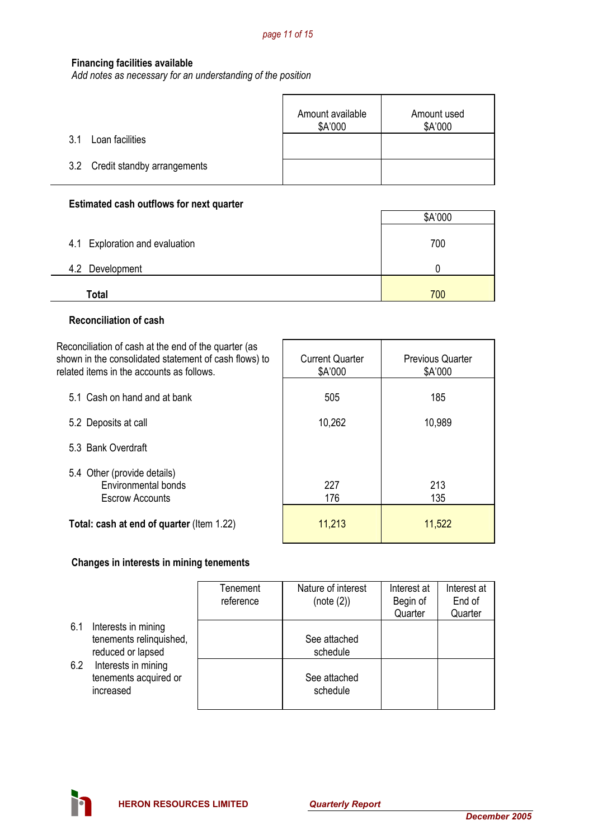#### **Financing facilities available**

*Add notes as necessary for an understanding of the position*

|                                 | Amount available<br>\$A'000 | Amount used<br>\$A'000 |
|---------------------------------|-----------------------------|------------------------|
| Loan facilities<br>3.1          |                             |                        |
| 3.2 Credit standby arrangements |                             |                        |

## **Estimated cash outflows for next quarter**

|                                | \$A'000 |
|--------------------------------|---------|
| 4.1 Exploration and evaluation | 700     |
| 4.2 Development                |         |
| Total                          | 700     |

#### **Reconciliation of cash**

÷.

| Reconciliation of cash at the end of the quarter (as<br>shown in the consolidated statement of cash flows) to<br>related items in the accounts as follows. | <b>Current Quarter</b><br>\$A'000 | <b>Previous Quarter</b><br>\$A'000 |
|------------------------------------------------------------------------------------------------------------------------------------------------------------|-----------------------------------|------------------------------------|
| 5.1 Cash on hand and at bank                                                                                                                               | 505                               | 185                                |
| 5.2 Deposits at call                                                                                                                                       | 10,262                            | 10,989                             |
| 5.3 Bank Overdraft                                                                                                                                         |                                   |                                    |
| 5.4 Other (provide details)<br>Environmental bonds<br><b>Escrow Accounts</b>                                                                               | 227<br>176                        | 213<br>135                         |
| Total: cash at end of quarter (Item 1.22)                                                                                                                  | 11,213                            | 11,522                             |

### **Changes in interests in mining tenements**

|     |                                                                     | Tenement<br>reference | Nature of interest<br>(note (2)) | Interest at<br>Begin of<br>Quarter | Interest at<br>End of<br>Quarter |
|-----|---------------------------------------------------------------------|-----------------------|----------------------------------|------------------------------------|----------------------------------|
| 6.1 | Interests in mining<br>tenements relinquished,<br>reduced or lapsed |                       | See attached<br>schedule         |                                    |                                  |
| 6.2 | Interests in mining<br>tenements acquired or<br>increased           |                       | See attached<br>schedule         |                                    |                                  |



ă,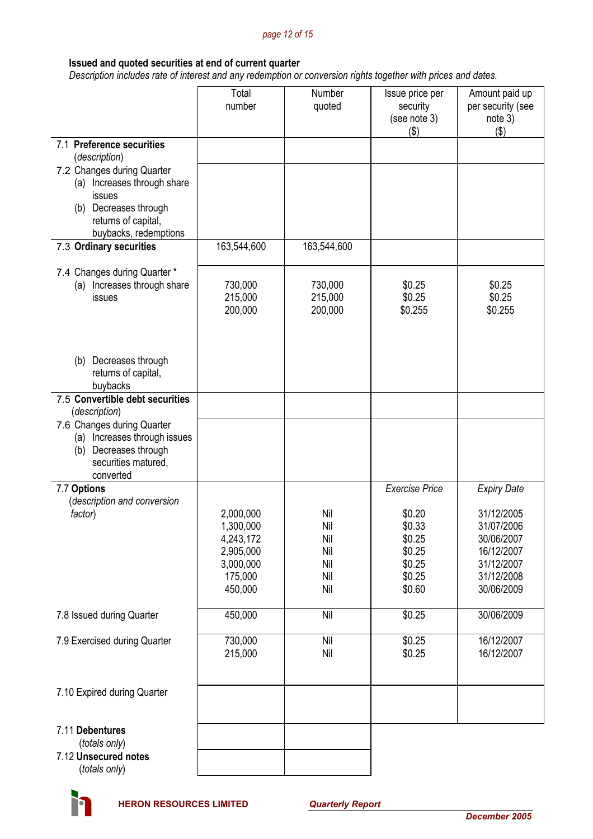#### *page 12 of 15*

### **Issued and quoted securities at end of current quarter**

 *Description includes rate of interest and any redemption or conversion rights together with prices and dates.* 

|                                              | Total<br>number        | Number<br>quoted   | Issue price per<br>security<br>(see note 3)<br>$($ \$) | Amount paid up<br>per security (see<br>note 3)<br>(3) |
|----------------------------------------------|------------------------|--------------------|--------------------------------------------------------|-------------------------------------------------------|
| 7.1 Preference securities                    |                        |                    |                                                        |                                                       |
| (description)<br>7.2 Changes during Quarter  |                        |                    |                                                        |                                                       |
| (a) Increases through share                  |                        |                    |                                                        |                                                       |
| issues                                       |                        |                    |                                                        |                                                       |
| (b) Decreases through<br>returns of capital, |                        |                    |                                                        |                                                       |
| buybacks, redemptions                        |                        |                    |                                                        |                                                       |
| 7.3 Ordinary securities                      | 163,544,600            | 163,544,600        |                                                        |                                                       |
| 7.4 Changes during Quarter *                 |                        |                    |                                                        |                                                       |
| (a) Increases through share<br>issues        | 730,000<br>215,000     | 730,000<br>215,000 | \$0.25<br>\$0.25                                       | \$0.25<br>\$0.25                                      |
|                                              | 200,000                | 200,000            | \$0.255                                                | \$0.255                                               |
|                                              |                        |                    |                                                        |                                                       |
|                                              |                        |                    |                                                        |                                                       |
| Decreases through<br>(b)                     |                        |                    |                                                        |                                                       |
| returns of capital,<br>buybacks              |                        |                    |                                                        |                                                       |
| 7.5 Convertible debt securities              |                        |                    |                                                        |                                                       |
| (description)<br>7.6 Changes during Quarter  |                        |                    |                                                        |                                                       |
| Increases through issues<br>(a)              |                        |                    |                                                        |                                                       |
| Decreases through<br>(b)                     |                        |                    |                                                        |                                                       |
| securities matured,<br>converted             |                        |                    |                                                        |                                                       |
| 7.7 Options                                  |                        |                    | <b>Exercise Price</b>                                  | <b>Expiry Date</b>                                    |
| (description and conversion<br>factor)       | 2,000,000              | Nil                | \$0.20                                                 | 31/12/2005                                            |
|                                              | 1,300,000              | Nil                | \$0.33                                                 | 31/07/2006                                            |
|                                              | 4,243,172              | Nil                | \$0.25                                                 | 30/06/2007                                            |
|                                              | 2,905,000<br>3,000,000 | Nil<br>Nil         | \$0.25<br>\$0.25                                       | 16/12/2007<br>31/12/2007                              |
|                                              | 175,000                | Nil                | \$0.25                                                 | 31/12/2008                                            |
|                                              | 450,000                | Nil                | \$0.60                                                 | 30/06/2009                                            |
| 7.8 Issued during Quarter                    | 450,000                | Nil                | \$0.25                                                 | 30/06/2009                                            |
| 7.9 Exercised during Quarter                 | 730,000                | Nil                | \$0.25                                                 | 16/12/2007                                            |
|                                              | 215,000                | Nil                | \$0.25                                                 | 16/12/2007                                            |
| 7.10 Expired during Quarter                  |                        |                    |                                                        |                                                       |
|                                              |                        |                    |                                                        |                                                       |
| 7.11 Debentures                              |                        |                    |                                                        |                                                       |
| (totals only)<br>7.12 Unsecured notes        |                        |                    |                                                        |                                                       |
| (totals only)                                |                        |                    |                                                        |                                                       |

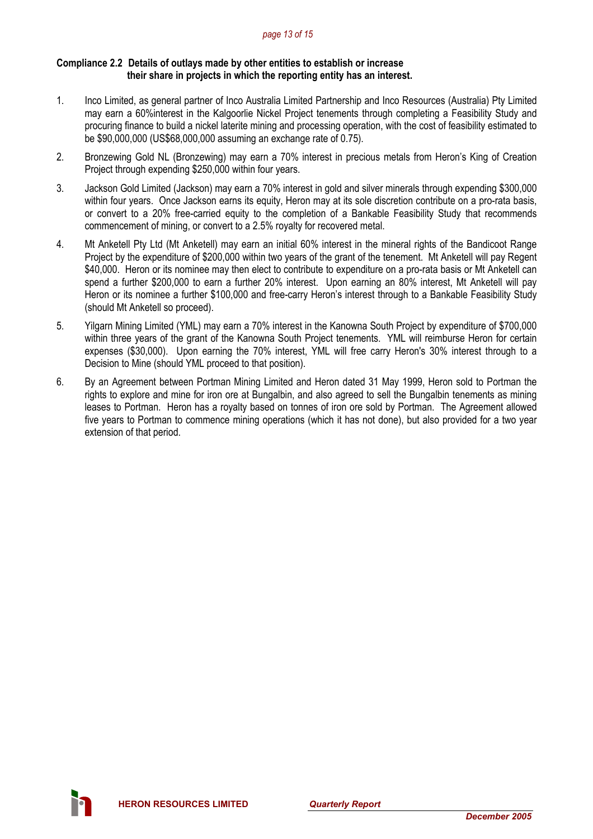#### *page 13 of 15*

#### **Compliance 2.2 Details of outlays made by other entities to establish or increase their share in projects in which the reporting entity has an interest.**

- 1. Inco Limited, as general partner of Inco Australia Limited Partnership and Inco Resources (Australia) Pty Limited may earn a 60%interest in the Kalgoorlie Nickel Project tenements through completing a Feasibility Study and procuring finance to build a nickel laterite mining and processing operation, with the cost of feasibility estimated to be \$90,000,000 (US\$68,000,000 assuming an exchange rate of 0.75).
- 2. Bronzewing Gold NL (Bronzewing) may earn a 70% interest in precious metals from Heron's King of Creation Project through expending \$250,000 within four years.
- 3. Jackson Gold Limited (Jackson) may earn a 70% interest in gold and silver minerals through expending \$300,000 within four years. Once Jackson earns its equity, Heron may at its sole discretion contribute on a pro-rata basis, or convert to a 20% free-carried equity to the completion of a Bankable Feasibility Study that recommends commencement of mining, or convert to a 2.5% royalty for recovered metal.
- 4. Mt Anketell Pty Ltd (Mt Anketell) may earn an initial 60% interest in the mineral rights of the Bandicoot Range Project by the expenditure of \$200,000 within two years of the grant of the tenement. Mt Anketell will pay Regent \$40,000. Heron or its nominee may then elect to contribute to expenditure on a pro-rata basis or Mt Anketell can spend a further \$200,000 to earn a further 20% interest. Upon earning an 80% interest, Mt Anketell will pay Heron or its nominee a further \$100,000 and free-carry Heron's interest through to a Bankable Feasibility Study (should Mt Anketell so proceed).
- 5. Yilgarn Mining Limited (YML) may earn a 70% interest in the Kanowna South Project by expenditure of \$700,000 within three years of the grant of the Kanowna South Project tenements. YML will reimburse Heron for certain expenses (\$30,000). Upon earning the 70% interest, YML will free carry Heron's 30% interest through to a Decision to Mine (should YML proceed to that position).
- 6. By an Agreement between Portman Mining Limited and Heron dated 31 May 1999, Heron sold to Portman the rights to explore and mine for iron ore at Bungalbin, and also agreed to sell the Bungalbin tenements as mining leases to Portman. Heron has a royalty based on tonnes of iron ore sold by Portman. The Agreement allowed five years to Portman to commence mining operations (which it has not done), but also provided for a two year extension of that period.

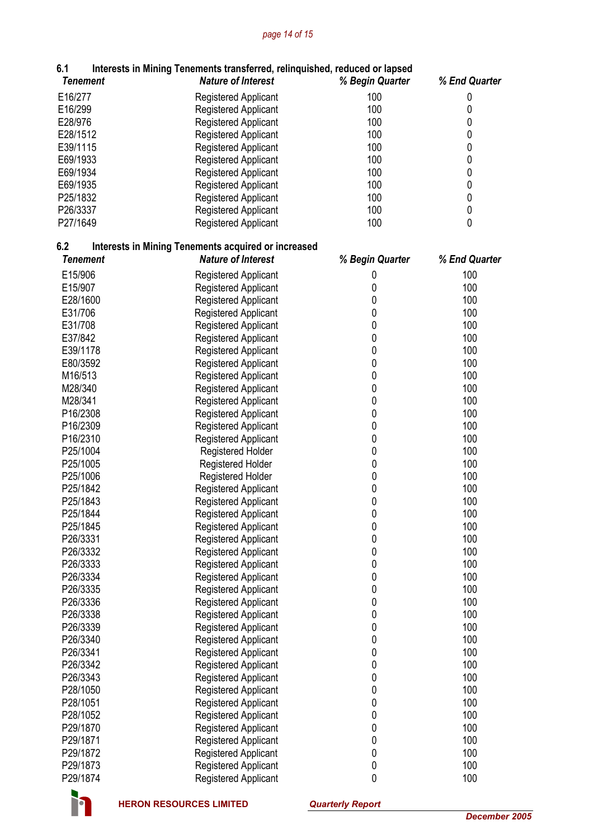# *page 14 of 15*

| 6.1             | Interests in Mining Tenements transferred, relinquished, reduced or lapsed |                 |               |
|-----------------|----------------------------------------------------------------------------|-----------------|---------------|
| <b>Tenement</b> | <b>Nature of Interest</b>                                                  | % Begin Quarter | % End Quarter |
| E16/277         | <b>Registered Applicant</b>                                                | 100             | 0             |
| E16/299         | Registered Applicant                                                       | 100             | 0             |
| E28/976         | Registered Applicant                                                       | 100             | 0             |
| E28/1512        | <b>Registered Applicant</b>                                                | 100             | $\pmb{0}$     |
| E39/1115        | <b>Registered Applicant</b>                                                | 100             | $\pmb{0}$     |
| E69/1933        | <b>Registered Applicant</b>                                                | 100             | $\pmb{0}$     |
| E69/1934        | <b>Registered Applicant</b>                                                | 100             | $\pmb{0}$     |
| E69/1935        | <b>Registered Applicant</b>                                                | 100             | $\pmb{0}$     |
| P25/1832        | <b>Registered Applicant</b>                                                | 100             | $\pmb{0}$     |
| P26/3337        | Registered Applicant                                                       | 100             | $\pmb{0}$     |
| P27/1649        | <b>Registered Applicant</b>                                                | 100             | $\mathbf 0$   |
| 6.2             | <b>Interests in Mining Tenements acquired or increased</b>                 |                 |               |
| <b>Tenement</b> | <b>Nature of Interest</b>                                                  | % Begin Quarter | % End Quarter |
| E15/906         | <b>Registered Applicant</b>                                                | 0               | 100           |
| E15/907         | <b>Registered Applicant</b>                                                | 0               | 100           |
| E28/1600        | Registered Applicant                                                       | 0               | 100           |
| E31/706         | Registered Applicant                                                       | 0               | 100           |
| E31/708         | Registered Applicant                                                       | 0               | 100           |
| E37/842         | Registered Applicant                                                       | 0               | 100           |
| E39/1178        | <b>Registered Applicant</b>                                                | 0               | 100           |
| E80/3592        |                                                                            | 0               | 100           |
| M16/513         | <b>Registered Applicant</b>                                                | 0               | 100           |
|                 | Registered Applicant                                                       | 0               | 100           |
| M28/340         | Registered Applicant                                                       |                 |               |
| M28/341         | Registered Applicant                                                       | 0               | 100           |
| P16/2308        | <b>Registered Applicant</b>                                                | 0               | 100           |
| P16/2309        | Registered Applicant                                                       | 0               | 100           |
| P16/2310        | <b>Registered Applicant</b>                                                | 0               | 100           |
| P25/1004        | <b>Registered Holder</b>                                                   | 0               | 100           |
| P25/1005        | <b>Registered Holder</b>                                                   | 0               | 100           |
| P25/1006        | Registered Holder                                                          | 0               | 100           |
| P25/1842        | <b>Registered Applicant</b>                                                | 0               | 100           |
| P25/1843        | <b>Registered Applicant</b>                                                | 0               | 100           |
| P25/1844        | Registered Applicant                                                       | 0               | 100           |
| P25/1845        | <b>Registered Applicant</b>                                                | 0               | 100           |
| P26/3331        | <b>Registered Applicant</b>                                                | 0               | 100           |
| P26/3332        | Registered Applicant                                                       | 0               | 100           |
| P26/3333        | Registered Applicant                                                       | 0               | 100           |
| P26/3334        | <b>Registered Applicant</b>                                                | 0               | 100           |
| P26/3335        | Registered Applicant                                                       | 0               | 100           |
| P26/3336        | Registered Applicant                                                       | 0               | 100           |
| P26/3338        | <b>Registered Applicant</b>                                                | 0               | 100           |
| P26/3339        | <b>Registered Applicant</b>                                                | 0               | 100           |
| P26/3340        | <b>Registered Applicant</b>                                                | 0               | 100           |
| P26/3341        | <b>Registered Applicant</b>                                                | 0               | 100           |
| P26/3342        | Registered Applicant                                                       | 0               | 100           |
| P26/3343        | Registered Applicant                                                       | 0               | 100           |
| P28/1050        | <b>Registered Applicant</b>                                                | 0               | 100           |
| P28/1051        | Registered Applicant                                                       | 0               | 100           |
| P28/1052        | <b>Registered Applicant</b>                                                | 0               | 100           |
| P29/1870        | Registered Applicant                                                       | 0               | 100           |
| P29/1871        | Registered Applicant                                                       | 0               | 100           |
| P29/1872        | <b>Registered Applicant</b>                                                | 0               | 100           |
| P29/1873        | Registered Applicant                                                       | 0               | 100           |
| P29/1874        | Registered Applicant                                                       | 0               | 100           |